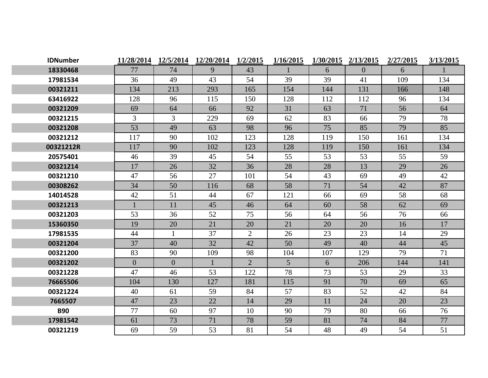| <b>IDNumber</b> | 11/28/2014   | 12/5/2014      | 12/20/2014 | 1/2/2015       | 1/16/2015      | 1/30/2015 | 2/13/2015      | 2/27/2015 | 3/13/2015 |
|-----------------|--------------|----------------|------------|----------------|----------------|-----------|----------------|-----------|-----------|
| 18330468        | 77           | 74             | 9          | 43             |                | 6         | $\overline{0}$ | 6         |           |
| 17981534        | 36           | 49             | 43         | 54             | 39             | 39        | 41             | 109       | 134       |
| 00321211        | 134          | 213            | 293        | 165            | 154            | 144       | 131            | 166       | 148       |
| 63416922        | 128          | 96             | 115        | 150            | 128            | 112       | 112            | 96        | 134       |
| 00321209        | 69           | 64             | 66         | 92             | 31             | 63        | 71             | 56        | 64        |
| 00321215        | 3            | 3              | 229        | 69             | 62             | 83        | 66             | 79        | 78        |
| 00321208        | 53           | 49             | 63         | 98             | 96             | 75        | 85             | 79        | 85        |
| 00321212        | 117          | 90             | 102        | 123            | 128            | 119       | 150            | 161       | 134       |
| 00321212R       | 117          | 90             | 102        | 123            | 128            | 119       | 150            | 161       | 134       |
| 20575401        | 46           | 39             | 45         | 54             | 55             | 53        | 53             | 55        | 59        |
| 00321214        | 17           | 26             | 32         | 36             | 28             | 28        | 13             | 29        | 26        |
| 00321210        | 47           | 56             | 27         | 101            | 54             | 43        | 69             | 49        | 42        |
| 00308262        | 34           | 50             | 116        | 68             | 58             | 71        | 54             | 42        | 87        |
| 14014528        | 42           | 51             | 44         | 67             | 121            | 66        | 69             | 58        | 68        |
| 00321213        | $\mathbf{1}$ | 11             | 45         | 46             | 64             | 60        | 58             | 62        | 69        |
| 00321203        | 53           | 36             | 52         | 75             | 56             | 64        | 56             | 76        | 66        |
| 15360350        | 19           | 20             | 21         | 20             | 21             | 20        | 20             | 16        | 17        |
| 17981535        | 44           | $\mathbf{1}$   | 37         | 2              | 26             | 23        | 23             | 14        | 29        |
| 00321204        | 37           | 40             | 32         | 42             | 50             | 49        | 40             | 44        | 45        |
| 00321200        | 83           | 90             | 109        | 98             | 104            | 107       | 129            | 79        | 71        |
| 00321202        | $\mathbf{0}$ | $\overline{0}$ |            | $\overline{2}$ | 5 <sup>5</sup> | 6         | 206            | 144       | 141       |
| 00321228        | 47           | 46             | 53         | 122            | 78             | 73        | 53             | 29        | 33        |
| 76665506        | 104          | 130            | 127        | 181            | 115            | 91        | 70             | 69        | 65        |
| 00321224        | 40           | 61             | 59         | 84             | 57             | 83        | 52             | 42        | 84        |
| 7665507         | 47           | 23             | 22         | 14             | 29             | 11        | 24             | 20        | 23        |
| <b>B90</b>      | 77           | 60             | 97         | 10             | 90             | 79        | 80             | 66        | 76        |
| 17981542        | 61           | 73             | 71         | 78             | 59             | 81        | 74             | 84        | 77        |
| 00321219        | 69           | 59             | 53         | 81             | 54             | 48        | 49             | 54        | 51        |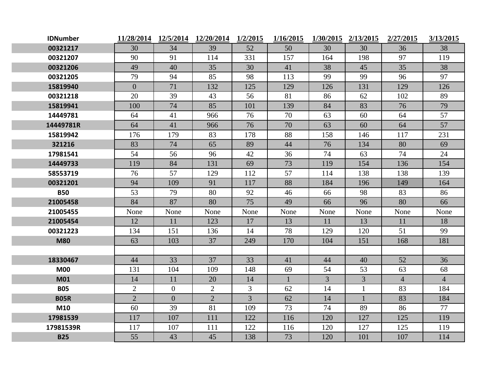| <b>IDNumber</b> |                |                | 11/28/2014 12/5/2014 12/20/2014 | 1/2/2015       | 1/16/2015    |                | 1/30/2015 2/13/2015 | 2/27/2015      | 3/13/2015      |
|-----------------|----------------|----------------|---------------------------------|----------------|--------------|----------------|---------------------|----------------|----------------|
| 00321217        | 30             | 34             | 39                              | 52             | 50           | 30             | 30                  | 36             | 38             |
| 00321207        | 90             | 91             | 114                             | 331            | 157          | 164            | 198                 | 97             | 119            |
| 00321206        | 49             | 40             | 35                              | 30             | 41           | 38             | 45                  | 35             | 38             |
| 00321205        | 79             | 94             | 85                              | 98             | 113          | 99             | 99                  | 96             | 97             |
| 15819940        | $\overline{0}$ | 71             | 132                             | 125            | 129          | 126            | 131                 | 129            | 126            |
| 00321218        | 20             | 39             | 43                              | 56             | 81           | 86             | 62                  | 102            | 89             |
| 15819941        | 100            | 74             | 85                              | 101            | 139          | 84             | 83                  | 76             | 79             |
| 14449781        | 64             | 41             | 966                             | 76             | 70           | 63             | 60                  | 64             | 57             |
| 14449781R       | 64             | 41             | 966                             | 76             | 70           | 63             | 60                  | 64             | 57             |
| 15819942        | 176            | 179            | 83                              | 178            | 88           | 158            | 146                 | 117            | 231            |
| 321216          | 83             | 74             | 65                              | 89             | 44           | 76             | 134                 | 80             | 69             |
| 17981541        | 54             | 56             | 96                              | 42             | 36           | 74             | 63                  | 74             | 24             |
| 14449733        | 119            | 84             | 131                             | 69             | 73           | 119            | 154                 | 136            | 154            |
| 58553719        | 76             | 57             | 129                             | 112            | 57           | 114            | 138                 | 138            | 139            |
| 00321201        | 94             | 109            | 91                              | 117            | 88           | 184            | 196                 | 149            | 164            |
| <b>B50</b>      | 53             | 79             | 80                              | 92             | 46           | 66             | 98                  | 83             | 86             |
| 21005458        | 84             | 87             | 80                              | 75             | 49           | 66             | 96                  | 80             | 66             |
| 21005455        | None           | None           | None                            | None           | None         | None           | None                | None           | None           |
| 21005454        | 12             | 11             | 123                             | 17             | 13           | 11             | 13                  | 11             | 18             |
| 00321223        | 134            | 151            | 136                             | 14             | 78           | 129            | 120                 | 51             | 99             |
| <b>M80</b>      | 63             | 103            | 37                              | 249            | 170          | 104            | 151                 | 168            | 181            |
|                 |                |                |                                 |                |              |                |                     |                |                |
| 18330467        | 44             | 33             | 37                              | 33             | 41           | 44             | 40                  | 52             | 36             |
| <b>M00</b>      | 131            | 104            | 109                             | 148            | 69           | 54             | 53                  | 63             | 68             |
| <b>M01</b>      | 14             | 11             | 20                              | 14             | $\mathbf{1}$ | $\overline{3}$ | $\overline{3}$      | $\overline{4}$ | $\overline{4}$ |
| <b>B05</b>      | $\overline{2}$ | $\theta$       | $\overline{2}$                  | $\overline{3}$ | 62           | 14             | $\mathbf{1}$        | 83             | 184            |
| <b>B05R</b>     | $\overline{2}$ | $\overline{0}$ | $\overline{2}$                  | $\overline{3}$ | 62           | 14             | $\mathbf{1}$        | 83             | 184            |
| M10             | 60             | 39             | 81                              | 109            | 73           | 74             | 89                  | 86             | 77             |
| 17981539        | 117            | 107            | 111                             | 122            | 116          | 120            | 127                 | 125            | 119            |
| 17981539R       | 117            | 107            | 111                             | 122            | 116          | 120            | 127                 | 125            | 119            |
| <b>B25</b>      | 55             | 43             | 45                              | 138            | 73           | 120            | 101                 | 107            | 114            |